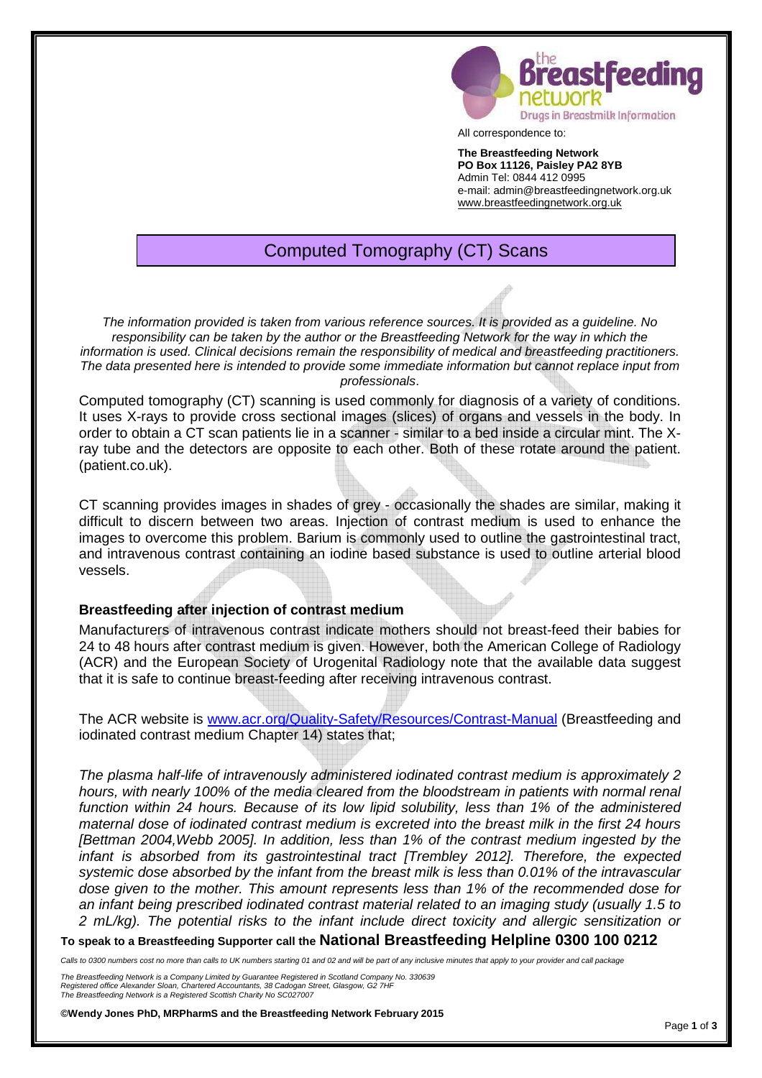

All correspondence to:

**The Breastfeeding Network PO Box 11126, Paisley PA2 8YB**  Admin Tel: 0844 412 0995 e-mail: admin@breastfeedingnetwork.org.uk www.breastfeedingnetwork.org.uk

# Computed Tomography (CT) Scans

The information provided is taken from various reference sources. It is provided as a guideline. No responsibility can be taken by the author or the Breastfeeding Network for the way in which the information is used. Clinical decisions remain the responsibility of medical and breastfeeding practitioners. The data presented here is intended to provide some immediate information but cannot replace input from professionals.

Computed tomography (CT) scanning is used commonly for diagnosis of a variety of conditions. It uses X-rays to provide cross sectional images (slices) of organs and vessels in the body. In order to obtain a CT scan patients lie in a scanner - similar to a bed inside a circular mint. The Xray tube and the detectors are opposite to each other. Both of these rotate around the patient. (patient.co.uk).

CT scanning provides images in shades of grey - occasionally the shades are similar, making it difficult to discern between two areas. Injection of contrast medium is used to enhance the images to overcome this problem. Barium is commonly used to outline the gastrointestinal tract, and intravenous contrast containing an iodine based substance is used to outline arterial blood vessels.

### **Breastfeeding after injection of contrast medium**

Manufacturers of intravenous contrast indicate mothers should not breast-feed their babies for 24 to 48 hours after contrast medium is given. However, both the American College of Radiology (ACR) and the European Society of Urogenital Radiology note that the available data suggest that it is safe to continue breast-feeding after receiving intravenous contrast.

The ACR website is www.acr.org/Quality-Safety/Resources/Contrast-Manual (Breastfeeding and iodinated contrast medium Chapter 14) states that;

The plasma half-life of intravenously administered iodinated contrast medium is approximately 2 hours, with nearly 100% of the media cleared from the bloodstream in patients with normal renal function within 24 hours. Because of its low lipid solubility, less than 1% of the administered maternal dose of iodinated contrast medium is excreted into the breast milk in the first 24 hours [Bettman 2004,Webb 2005]. In addition, less than 1% of the contrast medium ingested by the infant is absorbed from its gastrointestinal tract [Trembley 2012]. Therefore, the expected systemic dose absorbed by the infant from the breast milk is less than 0.01% of the intravascular dose given to the mother. This amount represents less than 1% of the recommended dose for an infant being prescribed iodinated contrast material related to an imaging study (usually 1.5 to 2 mL/kg). The potential risks to the infant include direct toxicity and allergic sensitization or

**To speak to a Breastfeeding Supporter call the National Breastfeeding Helpline 0300 100 0212** 

Calls to 0300 numbers cost no more than calls to UK numbers starting 01 and 02 and will be part of any inclusive minutes that apply to your provider and call package

The Breastfeeding Network is a Company Limited by Guarantee Registered in Scotland Company No. 330639 Registered office Alexander Sloan, Chartered Accountants, 38 Cadogan Street, Glasgow, G2 7HI The Breastfeeding Network is a Registered Scottish Charity No SC027007

**©Wendy Jones PhD, MRPharmS and the Breastfeeding Network February 2015**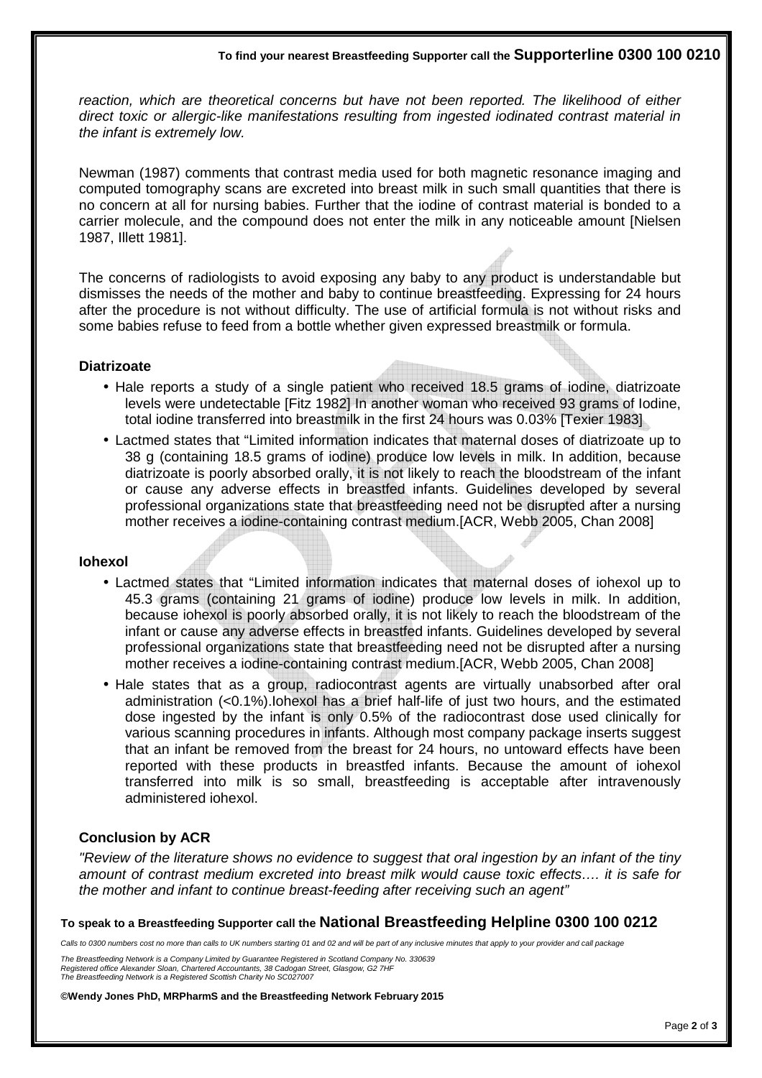reaction, which are theoretical concerns but have not been reported. The likelihood of either direct toxic or allergic-like manifestations resulting from ingested iodinated contrast material in the infant is extremely low.

Newman (1987) comments that contrast media used for both magnetic resonance imaging and computed tomography scans are excreted into breast milk in such small quantities that there is no concern at all for nursing babies. Further that the iodine of contrast material is bonded to a carrier molecule, and the compound does not enter the milk in any noticeable amount [Nielsen 1987, Illett 1981].

The concerns of radiologists to avoid exposing any baby to any product is understandable but dismisses the needs of the mother and baby to continue breastfeeding. Expressing for 24 hours after the procedure is not without difficulty. The use of artificial formula is not without risks and some babies refuse to feed from a bottle whether given expressed breastmilk or formula.

## **Diatrizoate**

- Hale reports a study of a single patient who received 18.5 grams of iodine, diatrizoate levels were undetectable [Fitz 1982] In another woman who received 93 grams of Iodine, total iodine transferred into breastmilk in the first 24 hours was 0.03% [Texier 1983]
- Lactmed states that "Limited information indicates that maternal doses of diatrizoate up to 38 g (containing 18.5 grams of iodine) produce low levels in milk. In addition, because diatrizoate is poorly absorbed orally, it is not likely to reach the bloodstream of the infant or cause any adverse effects in breastfed infants. Guidelines developed by several professional organizations state that breastfeeding need not be disrupted after a nursing mother receives a iodine-containing contrast medium.[ACR, Webb 2005, Chan 2008]

### **Iohexol**

- Lactmed states that "Limited information indicates that maternal doses of iohexol up to 45.3 grams (containing 21 grams of iodine) produce low levels in milk. In addition, because iohexol is poorly absorbed orally, it is not likely to reach the bloodstream of the infant or cause any adverse effects in breastfed infants. Guidelines developed by several professional organizations state that breastfeeding need not be disrupted after a nursing mother receives a iodine-containing contrast medium.[ACR, Webb 2005, Chan 2008]
- Hale states that as a group, radiocontrast agents are virtually unabsorbed after oral administration (<0.1%).Iohexol has a brief half-life of just two hours, and the estimated dose ingested by the infant is only 0.5% of the radiocontrast dose used clinically for various scanning procedures in infants. Although most company package inserts suggest that an infant be removed from the breast for 24 hours, no untoward effects have been reported with these products in breastfed infants. Because the amount of iohexol transferred into milk is so small, breastfeeding is acceptable after intravenously administered iohexol.

# **Conclusion by ACR**

"Review of the literature shows no evidence to suggest that oral ingestion by an infant of the tiny amount of contrast medium excreted into breast milk would cause toxic effects…. it is safe for the mother and infant to continue breast-feeding after receiving such an agent"

#### **To speak to a Breastfeeding Supporter call the National Breastfeeding Helpline 0300 100 0212**

Calls to 0300 numbers cost no more than calls to UK numbers starting 01 and 02 and will be part of any inclusive minutes that apply to your provider and call package

The Breastfeeding Network is a Company Limited by Guarantee Registered in Scotland Company No. 330639 Registered office Alexander Sloan, Chartered Accountants, 38 Cadogan Street, Glasgow, G2 7HF The Breastfeeding Network is a Registered Scottish Charity No SC027007

**©Wendy Jones PhD, MRPharmS and the Breastfeeding Network February 2015**